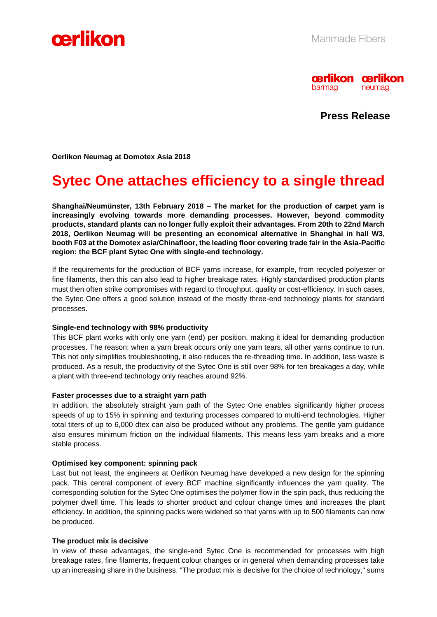



**Press Release**

**Oerlikon Neumag at Domotex Asia 2018**

# **Sytec One attaches efficiency to a single thread**

**Shanghai/Neumünster, 13th February 2018 – The market for the production of carpet yarn is increasingly evolving towards more demanding processes. However, beyond commodity products, standard plants can no longer fully exploit their advantages. From 20th to 22nd March 2018, Oerlikon Neumag will be presenting an economical alternative in Shanghai in hall W3, booth F03 at the Domotex asia/Chinafloor, the leading floor covering trade fair in the Asia-Pacific region: the BCF plant Sytec One with single-end technology.**

If the requirements for the production of BCF yarns increase, for example, from recycled polyester or fine filaments, then this can also lead to higher breakage rates. Highly standardised production plants must then often strike compromises with regard to throughput, quality or cost-efficiency. In such cases, the Sytec One offers a good solution instead of the mostly three-end technology plants for standard processes.

## **Single-end technology with 98% productivity**

This BCF plant works with only one yarn (end) per position, making it ideal for demanding production processes. The reason: when a yarn break occurs only one yarn tears, all other yarns continue to run. This not only simplifies troubleshooting, it also reduces the re-threading time. In addition, less waste is produced. As a result, the productivity of the Sytec One is still over 98% for ten breakages a day, while a plant with three-end technology only reaches around 92%.

## **Faster processes due to a straight yarn path**

In addition, the absolutely straight yarn path of the Sytec One enables significantly higher process speeds of up to 15% in spinning and texturing processes compared to multi-end technologies. Higher total titers of up to 6,000 dtex can also be produced without any problems. The gentle yarn guidance also ensures minimum friction on the individual filaments. This means less yarn breaks and a more stable process.

## **Optimised key component: spinning pack**

Last but not least, the engineers at Oerlikon Neumag have developed a new design for the spinning pack. This central component of every BCF machine significantly influences the yarn quality. The corresponding solution for the Sytec One optimises the polymer flow in the spin pack, thus reducing the polymer dwell time. This leads to shorter product and colour change times and increases the plant efficiency. In addition, the spinning packs were widened so that yarns with up to 500 filaments can now be produced.

## **The product mix is decisive**

In view of these advantages, the single-end Sytec One is recommended for processes with high breakage rates, fine filaments, frequent colour changes or in general when demanding processes take up an increasing share in the business. "The product mix is decisive for the choice of technology," sums